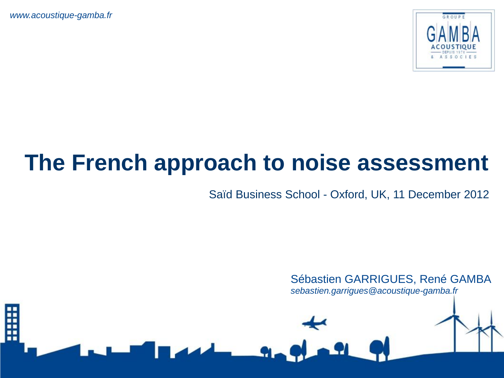

# **The French approach to noise assessment**

Saïd Business School - Oxford, UK, 11 December 2012

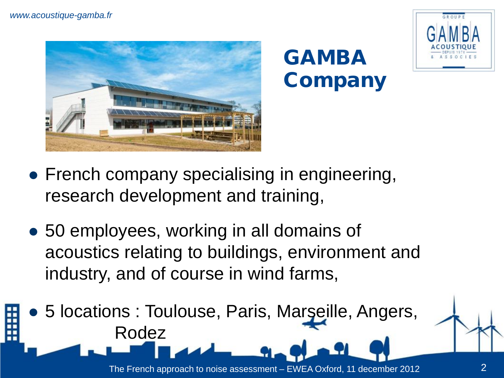

### GAMBA **Company**



- French company specialising in engineering, research development and training,
- 50 employees, working in all domains of acoustics relating to buildings, environment and industry, and of course in wind farms,
- 5 locations : Toulouse, Paris, Marseille, Angers, Rodez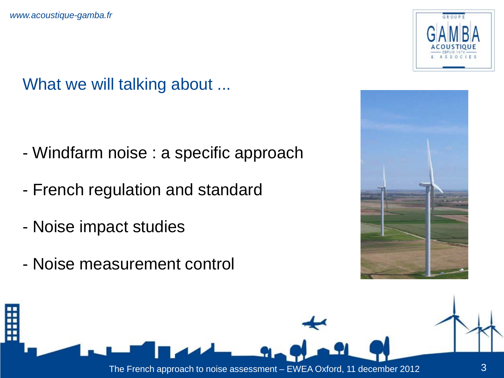What we will talking about ...

- Windfarm noise : a specific approach
- French regulation and standard
- Noise impact studies
- Noise measurement control





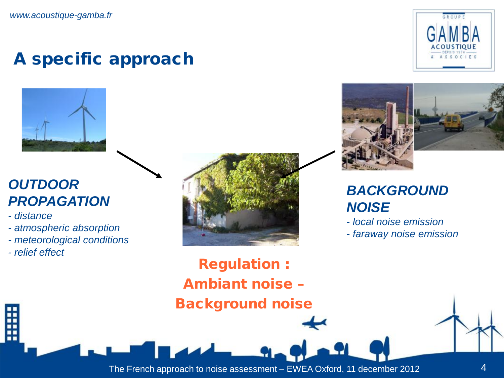#### A specific approach



#### *OUTDOOR PROPAGATION*

*- distance*

- *- atmospheric absorption*
- *- meteorological conditions*
- *- relief effect*







#### **BACKGROUND** *NOISE*

- *- local noise emission*
- *- faraway noise emission*

Regulation : Ambiant noise – Background noise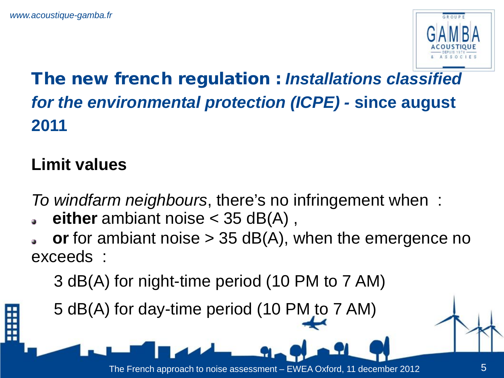

#### The new french regulation : *Installations classified for the environmental protection (ICPE) -* **since august 2011**

#### **Limit values**

*To windfarm neighbours*, there's no infringement when :

- **either** ambiant noise < 35 dB(A) ,
- **or** for ambiant noise > 35 dB(A), when the emergence no exceeds :

3 dB(A) for night-time period (10 PM to 7 AM)

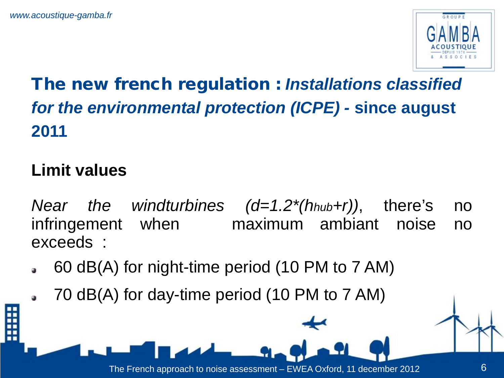

#### The new french regulation : *Installations classified for the environmental protection (ICPE) -* **since august 2011**

#### **Limit values**

- *Near the windturbines (d=1.2\*(hhub+r))*, there's no infringement when maximum ambiant noise no exceeds :
- 60 dB(A) for night-time period (10 PM to 7 AM)
	- 70 dB(A) for day-time period (10 PM to 7 AM)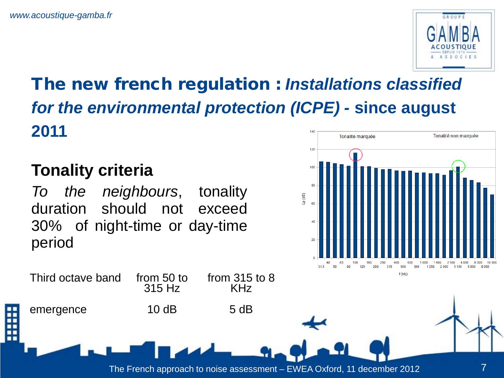

#### The new french regulation : *Installations classified for the environmental protection (ICPE) -* **since august 2011** Tonalité non marquée Tonalité marquée

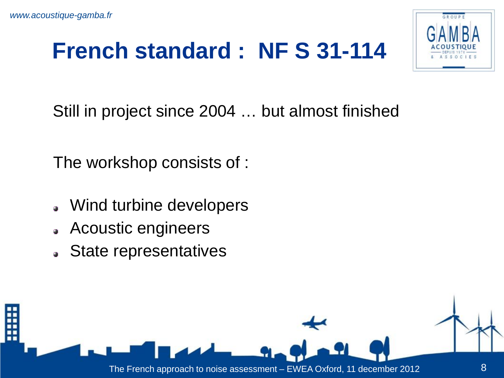

Still in project since 2004 … but almost finished

The workshop consists of :

- Wind turbine developers
- Acoustic engineers  $\bullet$
- State representatives

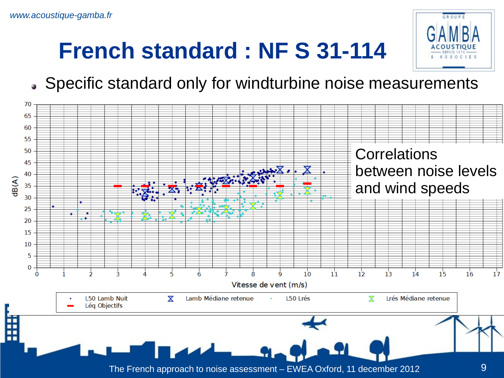

Specific standard only for windturbine noise measurements

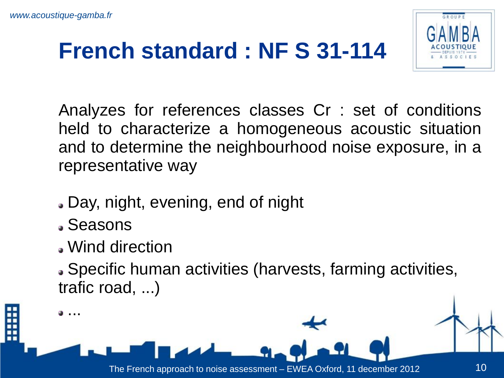

Analyzes for references classes Cr : set of conditions held to characterize a homogeneous acoustic situation and to determine the neighbourhood noise exposure, in a representative way

- Day, night, evening, end of night
- Seasons
- Wind direction

Specific human activities (harvests, farming activities, trafic road, ...)

<sup>...</sup>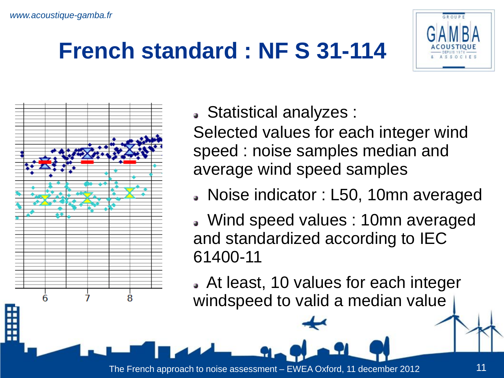



Statistical analyzes :

Selected values for each integer wind speed : noise samples median and average wind speed samples

Noise indicator : L50, 10mn averaged

 Wind speed values : 10mn averaged and standardized according to IEC 61400-11

 At least, 10 values for each integer windspeed to valid a median value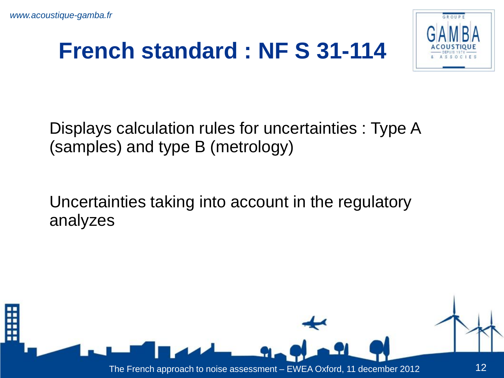

Displays calculation rules for uncertainties : Type A (samples) and type B (metrology)

Uncertainties taking into account in the regulatory analyzes

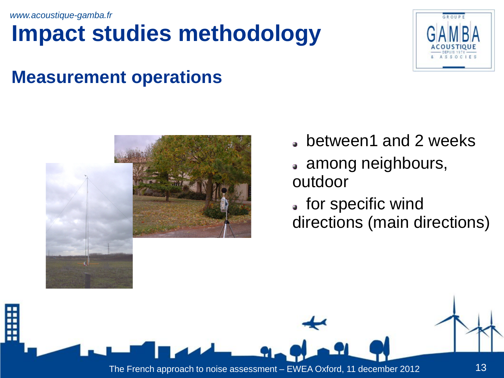# **Impact studies methodology**



#### **Measurement operations**



- between1 and 2 weeks
- among neighbours, outdoor
- for specific wind directions (main directions)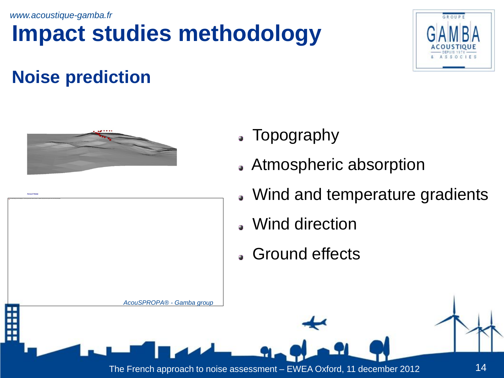# **Impact studies methodology**



#### **Noise prediction**





- Topography
- Atmospheric absorption
- Wind and temperature gradients
- Wind direction
- Ground effects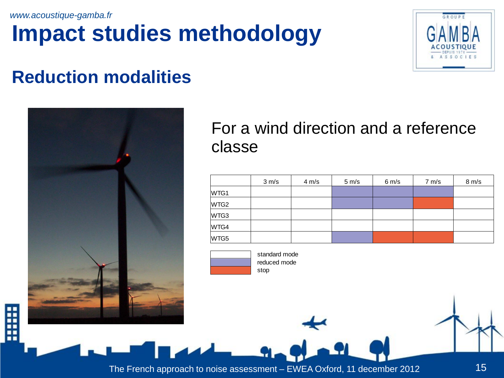# **Impact studies methodology**



#### **Reduction modalities**



#### For a wind direction and a reference classe

|      | 3 m/s | $4 \, \text{m/s}$ | $5 \, \text{m/s}$ | $6 \, \text{m/s}$ | 7 m/s | 8 m/s |
|------|-------|-------------------|-------------------|-------------------|-------|-------|
| WTG1 |       |                   |                   |                   |       |       |
| WTG2 |       |                   |                   |                   |       |       |
| WTG3 |       |                   |                   |                   |       |       |
| WTG4 |       |                   |                   |                   |       |       |
| WTG5 |       |                   |                   |                   |       |       |



 standard mode stop reduced mode

Ë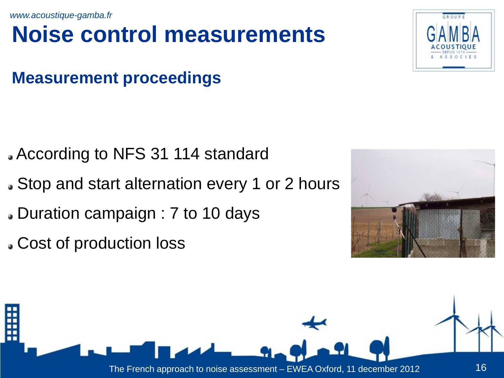### **Noise control measurements**

#### **Measurement proceedings**

- According to NFS 31 114 standard
- Stop and start alternation every 1 or 2 hours
- Duration campaign : 7 to 10 days
- Cost of production loss





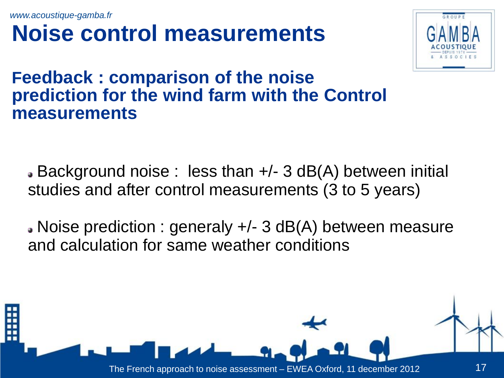### **Noise control measurements**



#### **Feedback : comparison of the noise prediction for the wind farm with the Control measurements**

Background noise : less than +/- 3 dB(A) between initial studies and after control measurements (3 to 5 years)

Noise prediction : generaly +/- 3 dB(A) between measure and calculation for same weather conditions

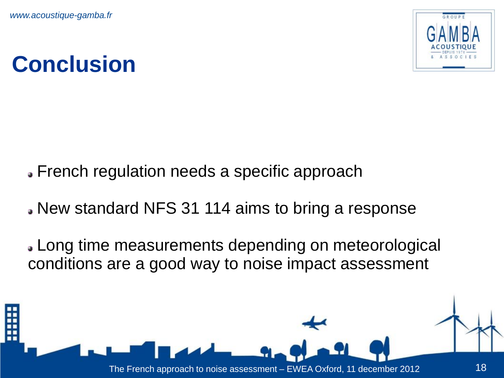

# **Conclusion**

- French regulation needs a specific approach
- New standard NFS 31 114 aims to bring a response
- Long time measurements depending on meteorological conditions are a good way to noise impact assessment